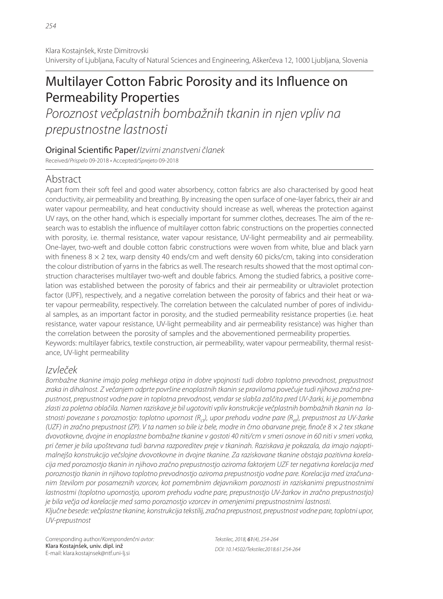# Multilayer Cotton Fabric Porosity and its Influence on Permeability Properties

Poroznost večplastnih bombažnih tkanin in njen vpliv na prepustnostne lastnosti

Original Scientific Paper/Izvirni znanstveni članek

Received/Prispelo 09-2018 • Accepted/Sprejeto 09-2018

# Abstract

Apart from their soft feel and good water absorbency, cotton fabrics are also characterised by good heat conductivity, air permeability and breathing. By increasing the open surface of one-layer fabrics, their air and water vapour permeability, and heat conductivity should increase as well, whereas the protection against UV rays, on the other hand, which is especially important for summer clothes, decreases. The aim of the research was to establish the influence of multilayer cotton fabric constructions on the properties connected with porosity, i.e. thermal resistance, water vapour resistance, UV-light permeability and air permeability. One-layer, two-weft and double cotton fabric constructions were woven from white, blue and black yarn with fineness  $8 \times 2$  tex, warp density 40 ends/cm and weft density 60 picks/cm, taking into consideration the colour distribution of yarns in the fabrics as well. The research results showed that the most optimal construction characterises multilayer two-weft and double fabrics. Among the studied fabrics, a positive correlation was established between the porosity of fabrics and their air permeability or ultraviolet protection factor (UPF), respectively, and a negative correlation between the porosity of fabrics and their heat or water vapour permeability, respectively. The correlation between the calculated number of pores of individual samples, as an important factor in porosity, and the studied permeability resistance properties (i.e. heat resistance, water vapour resistance, UV-light permeability and air permeability resistance) was higher than the correlation between the porosity of samples and the abovementioned permeability properties. Keywords: multilayer fabrics, textile construction, air permeability, water vapour permeability, thermal resistance, UV-light permeability

# Izvleček

Bombažne tkanine imajo poleg mehkega otipa in dobre vpojnosti tudi dobro toplotno prevodnost, prepustnost zraka in dihalnost. Z večanjem odprte površine enoplastnih tkanin se praviloma povečuje tudi njihova zračna prepustnost, prepustnost vodne pare in toplotna prevodnost, vendar se slabša zaščita pred UV-žarki, ki je pomembna zlasti za poletna oblačila. Namen raziskave je bil ugotoviti vpliv konstrukcije večplastnih bombažnih tkanin na lastnosti povezane s poroznostjo: toplotno upornost (R<sub>ct</sub>), upor prehodu vodne pare (R<sub>et</sub>), prepustnost za UV-žarke (UZF) in zračno prepustnost (ZP). V ta namen so bile iz bele, modre in črno obarvane preje, finoče  $8 \times 2$  tex stkane dvovotkovne, dvojne in enoplastne bombažne tkanine v gostoti 40 niti/cm v smeri osnove in 60 niti v smeri votka, pri čemer je bila upoštevana tudi barvna razporeditev preje v tkaninah. Raziskava je pokazala, da imajo najoptimalnejšo konstrukcijo večslojne dvovotkovne in dvojne tkanine. Za raziskovane tkanine obstaja pozitivna korelacija med poroznostjo tkanin in njihovo zračno prepustnostjo oziroma faktorjem UZF ter negativna korelacija med poroznostjo tkanin in njihovo toplotno prevodnostjo oziroma prepustnostjo vodne pare. Korelacija med izračunanim številom por posameznih vzorcev, kot pomembnim dejavnikom poroznosti in raziskanimi prepustnostnimi lastnostmi (toplotno upornostjo, uporom prehodu vodne pare, prepustnostjo UV-žarkov in zračno prepustnostjo) je bila večja od korelacije med samo poroznostjo vzorcev in omenjenimi prepustnostnimi lastnosti. Ključne besede: večplastne tkanine, konstrukcija tekstilij, zračna prepustnost, prepustnost vodne pare, toplotni upor,

UV-prepustnost

Corresponding author/Korespondenčni avtor: Klara Kostajnšek, univ. dipl. inž E-mail: klara.kostajnsek@ntf.uni-lj.si

Tekstilec, 2018, 61(4), 254-264 DOI: 10.14502/Tekstilec2018.61.254-264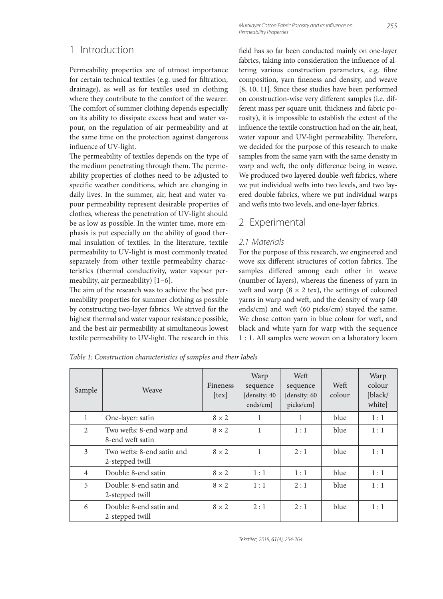#### 1 Introduction

Permeability properties are of utmost importance for certain technical textiles (e.g. used for filtration, drainage), as well as for textiles used in clothing where they contribute to the comfort of the wearer. The comfort of summer clothing depends especially on its ability to dissipate excess heat and water vapour, on the regulation of air permeability and at the same time on the protection against dangerous influence of UV-light.

The permeability of textiles depends on the type of the medium penetrating through them. The permeability properties of clothes need to be adjusted to specific weather conditions, which are changing in daily lives. In the summer, air, heat and water vapour permeability represent desirable properties of clothes, whereas the penetration of UV-light should be as low as possible. In the winter time, more emphasis is put especially on the ability of good thermal insulation of textiles. In the literature, textile permeability to UV-light is most commonly treated separately from other textile permeability characteristics (thermal conductivity, water vapour permeability, air permeability) [1−6].

The aim of the research was to achieve the best permeability properties for summer clothing as possible by constructing two-layer fabrics. We strived for the highest thermal and water vapour resistance possible, and the best air permeability at simultaneous lowest textile permeability to UV-light. The research in this field has so far been conducted mainly on one-layer fabrics, taking into consideration the influence of altering various construction parameters, e.g. fibre composition, yarn fineness and density, and weave [8, 10, 11]. Since these studies have been performed on construction-wise very different samples (i.e. different mass per square unit, thickness and fabric porosity), it is impossible to establish the extent of the influence the textile construction had on the air, heat, water vapour and UV-light permeability. Therefore, we decided for the purpose of this research to make samples from the same yarn with the same density in warp and weft, the only difference being in weave. We produced two layered double-weft fabrics, where we put individual wefts into two levels, and two layered double fabrics, where we put individual warps and wefts into two levels, and one-layer fabrics.

### 2 Experimental

#### 2.1 Materials

For the purpose of this research, we engineered and wove six different structures of cotton fabrics. The samples differed among each other in weave (number of layers), whereas the fineness of yarn in weft and warp ( $8 \times 2$  tex), the settings of coloured yarns in warp and weft, and the density of warp (40) ends/cm) and weft (60 picks/cm) stayed the same. We chose cotton yarn in blue colour for weft, and black and white yarn for warp with the sequence 1 : 1. All samples were woven on a laboratory loom

| Sample         | Weave                                         | Fineness<br>[text] | Warp<br>sequence<br>density: 40<br>$ends/cm$ ] | Weft<br>sequence<br>[density: 60]<br>picks/cm] | Weft<br>colour | Warp<br>colour<br>[black/<br>white] |
|----------------|-----------------------------------------------|--------------------|------------------------------------------------|------------------------------------------------|----------------|-------------------------------------|
| $\mathbf{1}$   | One-layer: satin                              | $8 \times 2$       | 1                                              | 1                                              | blue           | 1:1                                 |
| 2              | Two wefts: 8-end warp and<br>8-end weft satin | $8 \times 2$       | 1                                              | 1:1                                            | blue           | 1:1                                 |
| 3              | Two wefts: 8-end satin and<br>2-stepped twill | $8 \times 2$       | 1                                              | 2:1                                            | blue           | 1:1                                 |
| $\overline{4}$ | Double: 8-end satin                           | $8 \times 2$       | 1:1                                            | 1:1                                            | blue           | 1:1                                 |
| 5              | Double: 8-end satin and<br>2-stepped twill    | $8 \times 2$       | 1:1                                            | 2:1                                            | blue           | 1:1                                 |
| 6              | Double: 8-end satin and<br>2-stepped twill    | $8 \times 2$       | 2:1                                            | 2:1                                            | blue           | 1:1                                 |

*Table 1: Construction characteristics of samples and their labels*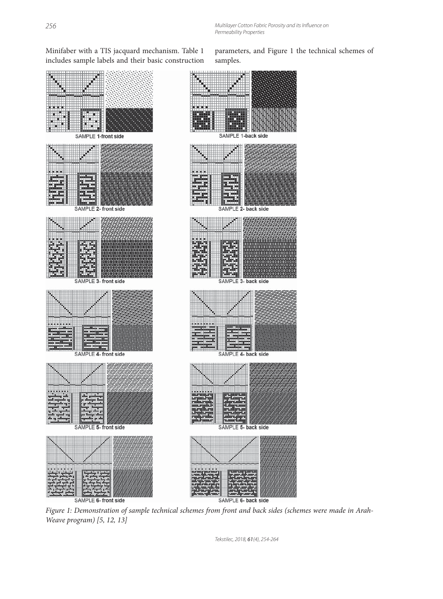Minifaber with a TIS jacquard mechanism. Table 1 includes sample labels and their basic construction



SAMPLE 6- front side

parameters, and Figure 1 the technical schemes of samples.



*Figure 1: Demonstration of sample technical schemes from front and back sides (schemes were made in Arah-Weave program) [5, 12, 13]*

Tekstilec, 2018, 61(4), 254-264

SAMPLE 6- back side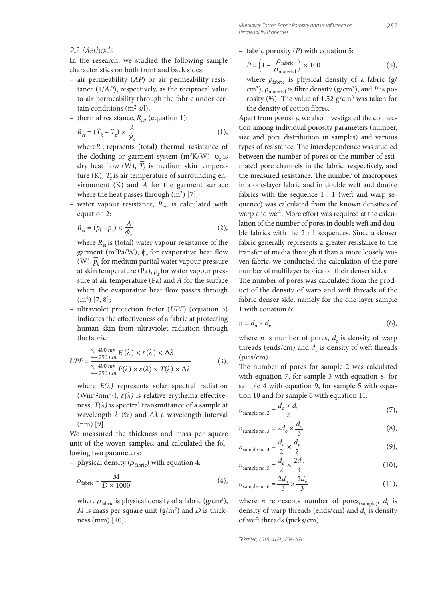#### 2.2 Methods

In the research, we studied the following sample characteristics on both front and back sides:

- air permeability (*AP*) or air permeability resistance (1/*AP*), respectively, as the reciprocal value to air permeability through the fabric under certain conditions  $(m^2 s/l)$ ;
- thermal resistance,  $R_{ct}$  (equation 1):

$$
R_{ct} = (\overline{T}_k - T_z) \times \frac{A}{\phi_c}
$$
 (1),

where $R_{ct}$  reprsents (total) thermal resistance of the clothing or garment system (m<sup>2</sup>K/W),  $\phi_c$  is dry heat flow (W),  $\overline{T}_k$  is medium skin temperature (K),  $T<sub>z</sub>$  is air temperature of surrounding environment (K) and *A* for the garment surface where the heat passes through  $(m<sup>2</sup>)$  [7];

water vapour resistance,  $R_{e}$ , is calculated with equation 2:

$$
R_{et} = (\overline{p}_k - p_z) \times \frac{A}{\phi_e}
$$
 (2),

where  $R_{\text{et}}$  is (total) water vapour resistance of the garment (m<sup>2</sup>Pa/W),  $\phi_e$  for evaporative heat flow garinent (in-ra/w),  $\varphi_e$  for evaporative fieat how<br>(W),  $\bar{p}_k$  for medium partial water vapour pressure at skin temperature (Pa),  $p_z$  for water vapour pressure at air temperature (Pa) and *A* for the surface where the evaporative heat flow passes through  $(m<sup>2</sup>)$  [7, 8];

– ultraviolet protection factor (*UPF*) (equation 3) indicates the effectiveness of a fabric at protecting human skin from ultraviolet radiation through the fabric:

$$
UPF = \frac{\sum_{290 \text{ nm}}^{400 \text{ nm}} E(\lambda) \times \varepsilon(\lambda) \times \Delta\lambda}{\sum_{290 \text{ nm}}^{400 \text{ nm}} E(\lambda) \times \varepsilon(\lambda) \times T(\lambda) \times \Delta\lambda}
$$
(3),

where  $E(\lambda)$  represents solar spectral radiation (Wm<sup>-2</sup>nm<sup>-1</sup>),  $\varepsilon(\lambda)$  is relative erythema effectiveness,  $T(\lambda)$  is spectral transmittance of a sample at wavelength  $\lambda$  (%) and  $\Delta\lambda$  a wavelength interval  $(nm)$  [9].

We measured the thickness and mass per square unit of the woven samples, and calculated the following two parameters:

– physical density  $(\rho_{\text{fabric}})$  with equation 4:

$$
\rho_{\text{fabric}} = \frac{M}{D \times 1000} \tag{4}
$$

where  $\rho_{\text{fabric}}$  is physical density of a fabric (g/cm<sup>3</sup>), *M* is mass per square unit (g/m2) and *D* is thickness (mm) [10];

– fabric porosity (*P*) with equation 5:

$$
P = \left(1 - \frac{\rho_{\text{fabric}}}{\rho_{\text{material}}}\right) \times 100\tag{5}
$$

where *ρ*<sub>fabric</sub> is physical density of a fabric (g/ cm<sup>3</sup>),  $ρ_{\text{material}}$  is fibre density (g/cm<sup>3</sup>), and *P* is porosity (%). The value of 1.52 g/cm<sup>3</sup> was taken for the density of cotton fibres.

Apart from porosity, we also investigated the connection among individual porosity parameters (number, size and pore distribution in samples) and various types of resistance. The interdependence was studied between the number of pores or the number of estimated pore channels in the fabric, respectively, and the measured resistance. The number of macropores in a one-layer fabric and in double weft and double fabrics with the sequence  $1:1$  (weft and warp sequence) was calculated from the known densities of warp and weft. More effort was required at the calculation of the number of pores in double weft and double fabrics with the 2 : 1 sequences. Since a denser fabric generally represents a greater resistance to the transfer of media through it than a more loosely woven fabric, we conducted the calculation of the pore number of multilayer fabrics on their denser sides.

The number of pores was calculated from the product of the density of warp and weft threads of the fabric denser side, namely for the one-layer sample 1 with equation 6:

$$
n = d_o \times d_v \tag{6}
$$

where *n* is number of pores,  $d_0$  is density of warp threads (ends/cm) and  $d_v$  is density of weft threads (pics/cm).

The number of pores for sample 2 was calculated with equation 7, for sample 3 with equation 8, for sample 4 with equation 9, for sample 5 with equation 10 and for sample 6 with equation 11:

$$
n_{\text{sample no. 2}} = \frac{d_o \times d_v}{2} \tag{7}
$$

$$
n_{\text{sample no. 3}} = 2d_o \times \frac{d_v}{3} \tag{8},
$$

$$
n_{\text{sample no. 4}} = \frac{d_o}{2} \times \frac{d_v}{2} \tag{9}
$$

$$
n_{\text{sample no. 5}} = \frac{d_o}{2} \times \frac{2d_v}{3} \tag{10}
$$

$$
n_{\text{sample no. 6}} = \frac{2d_o}{3} \times \frac{2d_v}{3} \tag{11}
$$

where *n* represents number of pores<sub>(sample)</sub>,  $d_o$  is density of warp threads (ends/cm) and  $d_v$  is density of weft threads (picks/cm).

Tekstilec, 2018, 61(4), 254-264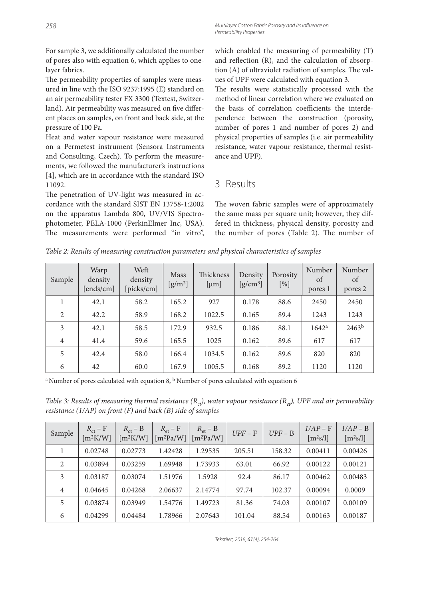For sample 3, we additionally calculated the number of pores also with equation 6, which applies to onelayer fabrics.

The permeability properties of samples were measured in line with the ISO 9237:1995 (E) standard on an air permeability tester FX 3300 (Textest, Switzerland). Air permeability was measured on five different places on samples, on front and back side, at the pressure of 100 Pa.

Heat and water vapour resistance were measured on a Permetest instrument (Sensora Instruments and Consulting, Czech). To perform the measurements, we followed the manufacturer's instructions [4], which are in accordance with the standard ISO 11092.

The penetration of UV-light was measured in accordance with the standard SIST EN 13758-1:2002 on the apparatus Lambda 800, UV/VIS Spectrophotometer, PELA-1000 (PerkinElmer Inc, USA). The measurements were performed "in vitro", which enabled the measuring of permeability (T) and reflection  $(R)$ , and the calculation of absorption (A) of ultraviolet radiation of samples. The values of UPF were calculated with equation 3.

The results were statistically processed with the method of linear correlation where we evaluated on the basis of correlation coefficients the interdependence between the construction (porosity, number of pores 1 and number of pores 2) and physical properties of samples (i.e. air permeability resistance, water vapour resistance, thermal resistance and UPF).

### 3 Results

The woven fabric samples were of approximately the same mass per square unit; however, they differed in thickness, physical density, porosity and the number of pores (Table 2). The number of

*Table 2: Results of measuring construction parameters and physical characteristics of samples*

| Sample         | Warp<br>density<br>[ends/cm] | Weft<br>density<br>[picks/cm] | Mass<br>$[g/m^2]$ | Thickness<br>[µm] | Density<br>$[g/cm^3]$ | <b>Porosity</b><br>$[\%]$ | Number<br>of<br>pores 1 | Number<br>of<br>pores 2 |
|----------------|------------------------------|-------------------------------|-------------------|-------------------|-----------------------|---------------------------|-------------------------|-------------------------|
|                | 42.1                         | 58.2                          | 165.2             | 927               | 0.178                 | 88.6                      | 2450                    | 2450                    |
| $\mathfrak{D}$ | 42.2                         | 58.9                          | 168.2             | 1022.5            | 0.165                 | 89.4                      | 1243                    | 1243                    |
| 3              | 42.1                         | 58.5                          | 172.9             | 932.5             | 0.186                 | 88.1                      | 1642 <sup>a</sup>       | $2463^{\rm b}$          |
| $\overline{4}$ | 41.4                         | 59.6                          | 165.5             | 1025              | 0.162                 | 89.6                      | 617                     | 617                     |
| 5              | 42.4                         | 58.0                          | 166.4             | 1034.5            | 0.162                 | 89.6                      | 820                     | 820                     |
| 6              | 42                           | 60.0                          | 167.9             | 1005.5            | 0.168                 | 89.2                      | 1120                    | 1120                    |

<sup>a</sup> Number of pores calculated with equation 8, <sup>b</sup> Number of pores calculated with equation 6

*Table 3: Results of measuring thermal resistance*  $(R_{ct})$ , water vapour resistance  $(R_{ct})$ , UPF and air permeability *resistance (1/AP) on front (F) and back (B) side of samples*

| Sample | $R_{\text{ct}} - F$<br>[m <sup>2</sup> K/W] | $R_{\rm ct}$ – B<br>[m <sup>2</sup> K/W] | $R_{\text{et}} - F$<br>$[m^2Pa/W]$ | $R_{\text{et}} - B$<br>$[m^2Pa/W]$ | $UPF - F$ | $UPF - B$ | $1/AP - F$<br>$[m^2s/l]$ | $1/AP - B$<br>$[m^2s/l]$ |
|--------|---------------------------------------------|------------------------------------------|------------------------------------|------------------------------------|-----------|-----------|--------------------------|--------------------------|
|        | 0.02748                                     | 0.02773                                  | 1.42428                            | 1.29535                            | 205.51    | 158.32    | 0.00411                  | 0.00426                  |
| 2      | 0.03894                                     | 0.03259                                  | 1.69948                            | 1.73933                            | 63.01     | 66.92     | 0.00122                  | 0.00121                  |
| 3      | 0.03187                                     | 0.03074                                  | 1.51976                            | 1.5928                             | 92.4      | 86.17     | 0.00462                  | 0.00483                  |
| 4      | 0.04645                                     | 0.04268                                  | 2.06637                            | 2.14774                            | 97.74     | 102.37    | 0.00094                  | 0.0009                   |
| 5      | 0.03874                                     | 0.03949                                  | 1.54776                            | 1.49723                            | 81.36     | 74.03     | 0.00107                  | 0.00109                  |
| 6      | 0.04299                                     | 0.04484                                  | 1.78966                            | 2.07643                            | 101.04    | 88.54     | 0.00163                  | 0.00187                  |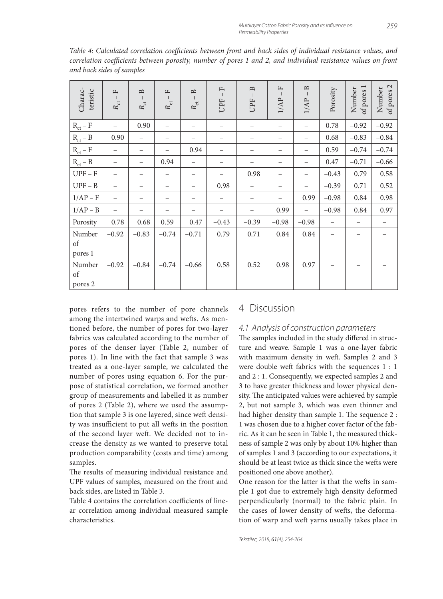| Charac-<br>teristic     | $\mathbf{r}$<br>$\perp$<br>$R_{\rm ct}$ | $\mathbf{B}$<br>$\perp$<br>$R_{\rm ct}$ | щ<br>$\Box$<br>$R_{\rm et}$ | $\mathbf{\underline{m}}$<br>$R_{\rm et}$ | $\mathbf{r}$<br>UPF | $\mathbf{D}$<br>UPF | $\frac{1}{2}$<br>1/AP | $\mathbf{B}$<br>1/AP | Porosity | $\overline{ }$<br>Number<br>of pores | $\mathbf{C}$<br>Number<br>of pores? |
|-------------------------|-----------------------------------------|-----------------------------------------|-----------------------------|------------------------------------------|---------------------|---------------------|-----------------------|----------------------|----------|--------------------------------------|-------------------------------------|
| $R_{ct} - F$            |                                         | 0.90                                    | $\overline{\phantom{0}}$    | -                                        | -                   |                     | -                     |                      | 0.78     | $-0.92$                              | $-0.92$                             |
| $\rm R_{ct}$ – $\rm B$  | 0.90                                    | $\qquad \qquad -$                       | -                           |                                          |                     | -                   | -                     |                      | 0.68     | $-0.83$                              | $-0.84$                             |
| $\rm R_{et}$ – $\rm F$  | $\overline{\phantom{0}}$                | $\qquad \qquad -$                       | $\overline{\phantom{0}}$    | 0.94                                     |                     |                     |                       |                      | 0.59     | $-0.74$                              | $-0.74$                             |
| $R_{et} - B$            |                                         | $\overline{\phantom{0}}$                | 0.94                        | -                                        |                     |                     |                       |                      | 0.47     | $-0.71$                              | $-0.66$                             |
| $UPF - F$               |                                         |                                         | $\overline{\phantom{0}}$    | -                                        |                     | 0.98                |                       |                      | $-0.43$  | 0.79                                 | 0.58                                |
| $UPF - B$               |                                         |                                         |                             |                                          | 0.98                |                     |                       |                      | $-0.39$  | 0.71                                 | 0.52                                |
| $1/AP - F$              |                                         |                                         | -                           |                                          |                     |                     |                       | 0.99                 | $-0.98$  | 0.84                                 | 0.98                                |
| $1/AP - B$              | $\overline{\phantom{0}}$                |                                         |                             |                                          |                     |                     | 0.99                  |                      | $-0.98$  | 0.84                                 | 0.97                                |
| Porosity                | 0.78                                    | 0.68                                    | 0.59                        | 0.47                                     | $-0.43$             | $-0.39$             | $-0.98$               | $-0.98$              |          |                                      |                                     |
| Number<br>of<br>pores 1 | $-0.92$                                 | $-0.83$                                 | $-0.74$                     | $-0.71$                                  | 0.79                | 0.71                | 0.84                  | 0.84                 |          |                                      |                                     |
| Number<br>of<br>pores 2 | $-0.92$                                 | $-0.84$                                 | $-0.74$                     | $-0.66$                                  | 0.58                | 0.52                | 0.98                  | 0.97                 |          |                                      |                                     |

*Table 4: Calculated correlation coefficients between front and back sides of individual resistance values, and correlation coefficients between porosity, number of pores 1 and 2, and individual resistance values on front and back sides of samples*

pores refers to the number of pore channels among the intertwined warps and wefts. As mentioned before, the number of pores for two-layer fabrics was calculated according to the number of pores of the denser layer (Table 2, number of pores 1). In line with the fact that sample 3 was treated as a one-layer sample, we calculated the number of pores using equation 6. For the purpose of statistical correlation, we formed another group of measurements and labelled it as number of pores 2 (Table 2), where we used the assumption that sample 3 is one layered, since weft density was insufficient to put all wefts in the position of the second layer weft. We decided not to increase the density as we wanted to preserve total production comparability (costs and time) among samples.

The results of measuring individual resistance and UPF values of samples, measured on the front and back sides, are listed in Table 3.

Table 4 contains the correlation coefficients of linear correlation among individual measured sample characteristics.

#### 4 Discussion

#### 4.1 Analysis of construction parameters

The samples included in the study differed in structure and weave. Sample 1 was a one-layer fabric with maximum density in weft. Samples 2 and 3 were double weft fabrics with the sequences 1 : 1 and 2 : 1. Consequently, we expected samples 2 and 3 to have greater thickness and lower physical density. The anticipated values were achieved by sample 2, but not sample 3, which was even thinner and had higher density than sample 1. The sequence 2 : 1 was chosen due to a higher cover factor of the fabric. As it can be seen in Table 1, the measured thickness of sample 2 was only by about 10% higher than of samples 1 and 3 (according to our expectations, it should be at least twice as thick since the wefts were positioned one above another).

One reason for the latter is that the wefts in sample 1 got due to extremely high density deformed perpendicularly (normal) to the fabric plain. In the cases of lower density of wefts, the deformation of warp and weft yarns usually takes place in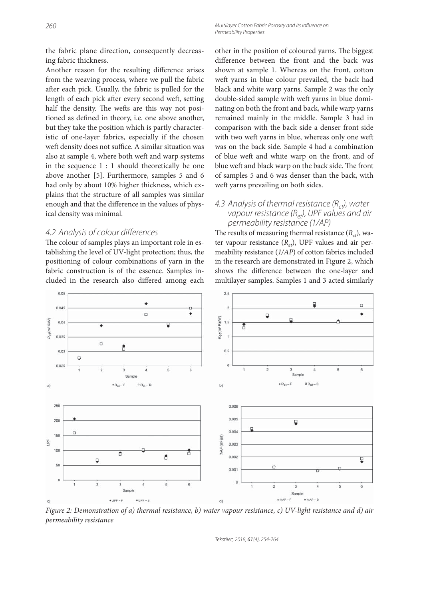the fabric plane direction, consequently decreasing fabric thickness.

Another reason for the resulting difference arises from the weaving process, where we pull the fabric after each pick. Usually, the fabric is pulled for the length of each pick after every second weft, setting half the density. The wefts are this way not positioned as defined in theory, i.e. one above another, but they take the position which is partly characteristic of one-layer fabrics, especially if the chosen weft density does not suffice. A similar situation was also at sample 4, where both weft and warp systems in the sequence 1 : 1 should theoretically be one above another [5]. Furthermore, samples 5 and 6 had only by about 10% higher thickness, which explains that the structure of all samples was similar enough and that the difference in the values of physical density was minimal.

#### 4.2 Analysis of colour differences

The colour of samples plays an important role in establishing the level of UV-light protection; thus, the positioning of colour combinations of yarn in the fabric construction is of the essence. Samples included in the research also differed among each other in the position of coloured yarns. The biggest difference between the front and the back was shown at sample 1. Whereas on the front, cotton weft yarns in blue colour prevailed, the back had black and white warp yarns. Sample 2 was the only double-sided sample with weft yarns in blue dominating on both the front and back, while warp yarns remained mainly in the middle. Sample 3 had in comparison with the back side a denser front side with two weft yarns in blue, whereas only one weft was on the back side. Sample 4 had a combination of blue weft and white warp on the front, and of blue weft and black warp on the back side. The front of samples 5 and 6 was denser than the back, with weft yarns prevailing on both sides.

#### 4.3 Analysis of thermal resistance  $(R_{ct})$ , water vapour resistance  $(R_{el})$ , UPF values and air permeability resistance (1/AP)

The results of measuring thermal resistance  $(R<sub>ct</sub>)$ , water vapour resistance  $(R_{et})$ , UPF values and air permeability resistance (*1/AP*) of cotton fabrics included in the research are demonstrated in Figure 2, which shows the difference between the one-layer and multilayer samples. Samples 1 and 3 acted similarly



*Figure 2: Demonstration of a) thermal resistance, b) water vapour resistance, c) UV-light resistance and d) air permeability resistance*

Tekstilec, 2018, 61(4), 254-264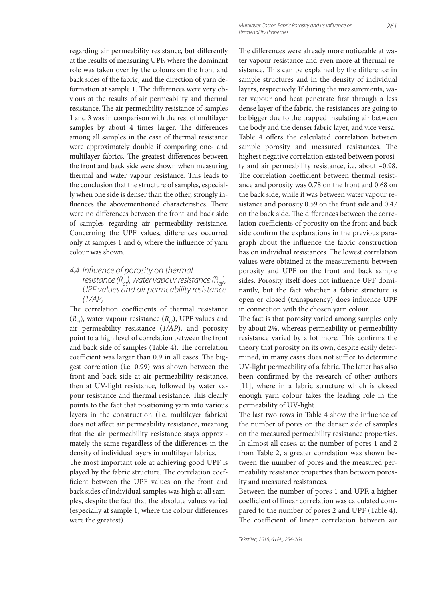regarding air permeability resistance, but differently at the results of measuring UPF, where the dominant role was taken over by the colours on the front and back sides of the fabric, and the direction of yarn deformation at sample 1. The differences were very obvious at the results of air permeability and thermal resistance. The air permeability resistance of samples 1 and 3 was in comparison with the rest of multilayer samples by about 4 times larger. The differences among all samples in the case of thermal resistance were approximately double if comparing one- and multilayer fabrics. The greatest differences between the front and back side were shown when measuring thermal and water vapour resistance. This leads to the conclusion that the structure of samples, especially when one side is denser than the other, strongly influences the abovementioned characteristics. There were no differences between the front and back side of samples regarding air permeability resistance. Concerning the UPF values, differences occurred only at samples 1 and 6, where the influence of yarn colour was shown.

4.4 Influence of porosity on thermal resistance  $(R<sub>ct</sub>)$ , water vapour resistance  $(R<sub>et</sub>)$ , UPF values and air permeability resistance (1/AP)

The correlation coefficients of thermal resistance  $(R<sub>ct</sub>)$ , water vapour resistance  $(R<sub>et</sub>)$ , UPF values and air permeability resistance (*1/AP*), and porosity point to a high level of correlation between the front and back side of samples (Table 4). The correlation coefficient was larger than 0.9 in all cases. The biggest correlation (i.e. 0.99) was shown between the front and back side at air permeability resistance, then at UV-light resistance, followed by water vapour resistance and thermal resistance. This clearly points to the fact that positioning yarn into various layers in the construction (i.e. multilayer fabrics) does not affect air permeability resistance, meaning that the air permeability resistance stays approximately the same regardless of the differences in the density of individual layers in multilayer fabrics.

The most important role at achieving good UPF is played by the fabric structure. The correlation coefficient between the UPF values on the front and back sides of individual samples was high at all samples, despite the fact that the absolute values varied (especially at sample 1, where the colour differences were the greatest).

The differences were already more noticeable at water vapour resistance and even more at thermal resistance. This can be explained by the difference in sample structures and in the density of individual layers, respectively. If during the measurements, water vapour and heat penetrate first through a less dense layer of the fabric, the resistances are going to be bigger due to the trapped insulating air between the body and the denser fabric layer, and vice versa. Table 4 offers the calculated correlation between sample porosity and measured resistances. The highest negative correlation existed between porosity and air permeability resistance, i.e. about –0.98. The correlation coefficient between thermal resistance and porosity was 0.78 on the front and 0.68 on the back side, while it was between water vapour resistance and porosity 0.59 on the front side and 0.47 on the back side. The differences between the correlation coefficients of porosity on the front and back side confirm the explanations in the previous paragraph about the influence the fabric construction has on individual resistances. The lowest correlation values were obtained at the measurements between porosity and UPF on the front and back sample sides. Porosity itself does not influence UPF dominantly, but the fact whether a fabric structure is open or closed (transparency) does influence UPF in connection with the chosen yarn colour.

The fact is that porosity varied among samples only by about 2%, whereas permeability or permeability resistance varied by a lot more. This confirms the theory that porosity on its own, despite easily determined, in many cases does not suffice to determine UV-light permeability of a fabric. The latter has also been confirmed by the research of other authors [11], where in a fabric structure which is closed enough yarn colour takes the leading role in the permeability of UV-light.

The last two rows in Table 4 show the influence of the number of pores on the denser side of samples on the measured permeability resistance properties. In almost all cases, at the number of pores 1 and 2 from Table 2, a greater correlation was shown between the number of pores and the measured permeability resistance properties than between porosity and measured resistances.

Between the number of pores 1 and UPF, a higher coefficient of linear correlation was calculated compared to the number of pores 2 and UPF (Table 4). The coefficient of linear correlation between air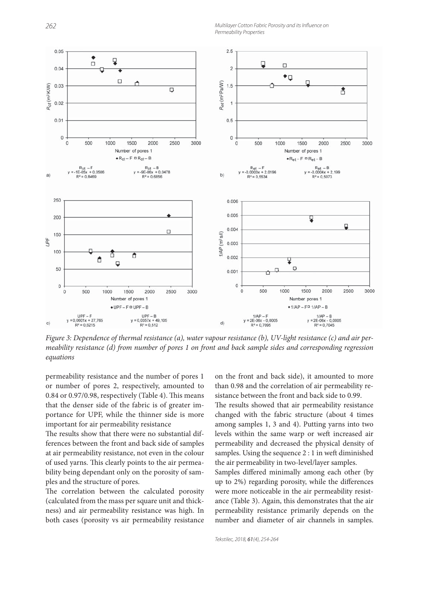262 Multilayer Cotton Fabric Porosity and its Influence on Permeability Properties



*Figure 3: Dependence of thermal resistance (a), water vapour resistance (b), UV-light resistance (c) and air permeability resistance (d) from number of pores 1 on front and back sample sides and corresponding regression equations*

permeability resistance and the number of pores 1 or number of pores 2, respectively, amounted to 0.84 or 0.97/0.98, respectively (Table 4). This means that the denser side of the fabric is of greater importance for UPF, while the thinner side is more important for air permeability resistance

The results show that there were no substantial differences between the front and back side of samples at air permeability resistance, not even in the colour of used yarns. This clearly points to the air permeability being dependant only on the porosity of samples and the structure of pores.

The correlation between the calculated porosity (calculated from the mass per square unit and thickness) and air permeability resistance was high. In both cases (porosity vs air permeability resistance on the front and back side), it amounted to more than 0.98 and the correlation of air permeability resistance between the front and back side to 0.99.

The results showed that air permeability resistance changed with the fabric structure (about 4 times among samples 1, 3 and 4). Putting yarns into two levels within the same warp or weft increased air permeability and decreased the physical density of samples. Using the sequence 2 : 1 in weft diminished the air permeability in two-level/layer samples.

Samples differed minimally among each other (by up to 2%) regarding porosity, while the differences were more noticeable in the air permeability resistance (Table 3). Again, this demonstrates that the air permeability resistance primarily depends on the number and diameter of air channels in samples.

Tekstilec, 2018, 61(4), 254-264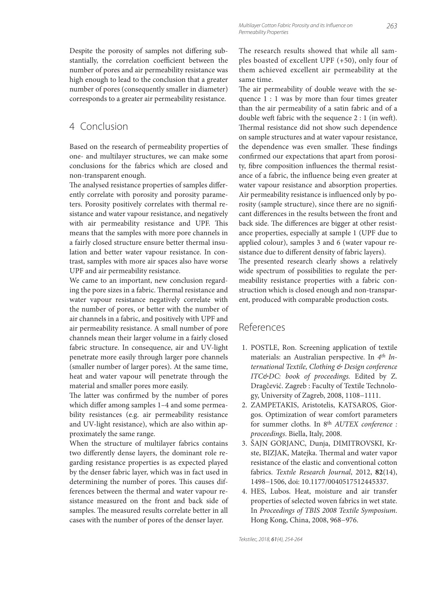Despite the porosity of samples not differing substantially, the correlation coefficient between the number of pores and air permeability resistance was high enough to lead to the conclusion that a greater number of pores (consequently smaller in diameter) corresponds to a greater air permeability resistance.

## 4 Conclusion

Based on the research of permeability properties of one- and multilayer structures, we can make some conclusions for the fabrics which are closed and non-transparent enough.

The analysed resistance properties of samples differently correlate with porosity and porosity parameters. Porosity positively correlates with thermal resistance and water vapour resistance, and negatively with air permeability resistance and UPF. This means that the samples with more pore channels in a fairly closed structure ensure better thermal insulation and better water vapour resistance. In contrast, samples with more air spaces also have worse UPF and air permeability resistance.

We came to an important, new conclusion regarding the pore sizes in a fabric. Thermal resistance and water vapour resistance negatively correlate with the number of pores, or better with the number of air channels in a fabric, and positively with UPF and air permeability resistance. A small number of pore channels mean their larger volume in a fairly closed fabric structure. In consequence, air and UV-light penetrate more easily through larger pore channels (smaller number of larger pores). At the same time, heat and water vapour will penetrate through the material and smaller pores more easily.

The latter was confirmed by the number of pores which differ among samples 1–4 and some permeability resistances (e.g. air permeability resistance and UV-light resistance), which are also within approximately the same range.

When the structure of multilayer fabrics contains two differently dense layers, the dominant role regarding resistance properties is as expected played by the denser fabric layer, which was in fact used in determining the number of pores. This causes differences between the thermal and water vapour resistance measured on the front and back side of samples. The measured results correlate better in all cases with the number of pores of the denser layer.

The research results showed that while all samples boasted of excellent UPF (+50), only four of them achieved excellent air permeability at the same time.

The air permeability of double weave with the sequence 1 : 1 was by more than four times greater than the air permeability of a satin fabric and of a double weft fabric with the sequence  $2:1$  (in weft). Thermal resistance did not show such dependence on sample structures and at water vapour resistance, the dependence was even smaller. These findings confirmed our expectations that apart from porosity, fibre composition influences the thermal resistance of a fabric, the influence being even greater at water vapour resistance and absorption properties. Air permeability resistance is influenced only by porosity (sample structure), since there are no significant differences in the results between the front and back side. The differences are bigger at other resistance properties, especially at sample 1 (UPF due to applied colour), samples 3 and 6 (water vapour resistance due to different density of fabric layers). The presented research clearly shows a relatively wide spectrum of possibilities to regulate the permeability resistance properties with a fabric construction which is closed enough and non-transparent, produced with comparable production costs.

## References

- 1. POSTLE, Ron. Screening application of textile materials: an Australian perspective. In *4th International Textile, Clothing & Design conference ITC&DC: book of proceedings.* Edited by Z. Dragčević. Zagreb : Faculty of Textile Technology, University of Zagreb, 2008, 1108−1111.
- 2. ZAMPETAKIS, Aristotelis, KATSAROS, Giorgos. Optimization of wear comfort parameters for summer cloths. In 8th *AUTEX conference : proceedings*. Biella, Italy, 2008.
- 3. ŠAJN GORJANC, Dunja, DIMITROVSKI, Krste, BIZJAK, Matejka. Thermal and water vapor resistance of the elastic and conventional cotton fabrics. *Textıle Research Journal*, 2012, **82**(14), 1498−1506, doi: 10.1177/0040517512445337.
- 4. HES, Lubos. Heat, moisture and air transfer properties of selected woven fabrics in wet state. In *Proceedings of TBIS 2008 Textile Symposium*. Hong Kong, China, 2008, 968−976.